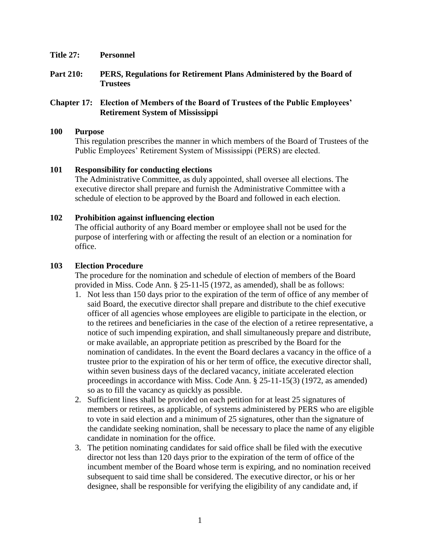- **Title 27: Personnel**
- **Part 210: PERS, Regulations for Retirement Plans Administered by the Board of Trustees**

# **Chapter 17: Election of Members of the Board of Trustees of the Public Employees' Retirement System of Mississippi**

#### **100 Purpose**

This regulation prescribes the manner in which members of the Board of Trustees of the Public Employees' Retirement System of Mississippi (PERS) are elected.

# **101 Responsibility for conducting elections**

The Administrative Committee, as duly appointed, shall oversee all elections. The executive director shall prepare and furnish the Administrative Committee with a schedule of election to be approved by the Board and followed in each election.

# **102 Prohibition against influencing election**

The official authority of any Board member or employee shall not be used for the purpose of interfering with or affecting the result of an election or a nomination for office.

#### **103 Election Procedure**

The procedure for the nomination and schedule of election of members of the Board provided in Miss. Code Ann. § 25-11-l5 (1972, as amended), shall be as follows:

- 1. Not less than 150 days prior to the expiration of the term of office of any member of said Board, the executive director shall prepare and distribute to the chief executive officer of all agencies whose employees are eligible to participate in the election, or to the retirees and beneficiaries in the case of the election of a retiree representative, a notice of such impending expiration, and shall simultaneously prepare and distribute, or make available, an appropriate petition as prescribed by the Board for the nomination of candidates. In the event the Board declares a vacancy in the office of a trustee prior to the expiration of his or her term of office, the executive director shall, within seven business days of the declared vacancy, initiate accelerated election proceedings in accordance with Miss. Code Ann. § 25-11-15(3) (1972, as amended) so as to fill the vacancy as quickly as possible.
- 2. Sufficient lines shall be provided on each petition for at least 25 signatures of members or retirees, as applicable, of systems administered by PERS who are eligible to vote in said election and a minimum of 25 signatures, other than the signature of the candidate seeking nomination, shall be necessary to place the name of any eligible candidate in nomination for the office.
- 3. The petition nominating candidates for said office shall be filed with the executive director not less than 120 days prior to the expiration of the term of office of the incumbent member of the Board whose term is expiring, and no nomination received subsequent to said time shall be considered. The executive director, or his or her designee, shall be responsible for verifying the eligibility of any candidate and, if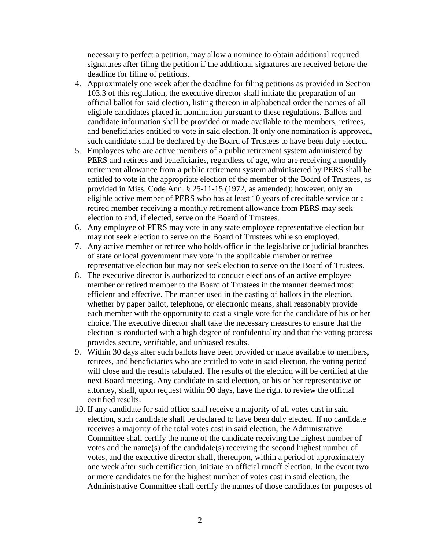necessary to perfect a petition, may allow a nominee to obtain additional required signatures after filing the petition if the additional signatures are received before the deadline for filing of petitions.

- 4. Approximately one week after the deadline for filing petitions as provided in Section 103.3 of this regulation, the executive director shall initiate the preparation of an official ballot for said election, listing thereon in alphabetical order the names of all eligible candidates placed in nomination pursuant to these regulations. Ballots and candidate information shall be provided or made available to the members, retirees, and beneficiaries entitled to vote in said election. If only one nomination is approved, such candidate shall be declared by the Board of Trustees to have been duly elected.
- 5. Employees who are active members of a public retirement system administered by PERS and retirees and beneficiaries, regardless of age, who are receiving a monthly retirement allowance from a public retirement system administered by PERS shall be entitled to vote in the appropriate election of the member of the Board of Trustees, as provided in Miss. Code Ann. § 25-11-15 (1972, as amended); however, only an eligible active member of PERS who has at least 10 years of creditable service or a retired member receiving a monthly retirement allowance from PERS may seek election to and, if elected, serve on the Board of Trustees.
- 6. Any employee of PERS may vote in any state employee representative election but may not seek election to serve on the Board of Trustees while so employed.
- 7. Any active member or retiree who holds office in the legislative or judicial branches of state or local government may vote in the applicable member or retiree representative election but may not seek election to serve on the Board of Trustees.
- 8. The executive director is authorized to conduct elections of an active employee member or retired member to the Board of Trustees in the manner deemed most efficient and effective. The manner used in the casting of ballots in the election, whether by paper ballot, telephone, or electronic means, shall reasonably provide each member with the opportunity to cast a single vote for the candidate of his or her choice. The executive director shall take the necessary measures to ensure that the election is conducted with a high degree of confidentiality and that the voting process provides secure, verifiable, and unbiased results.
- 9. Within 30 days after such ballots have been provided or made available to members, retirees, and beneficiaries who are entitled to vote in said election, the voting period will close and the results tabulated. The results of the election will be certified at the next Board meeting. Any candidate in said election, or his or her representative or attorney, shall, upon request within 90 days, have the right to review the official certified results.
- 10. If any candidate for said office shall receive a majority of all votes cast in said election, such candidate shall be declared to have been duly elected. If no candidate receives a majority of the total votes cast in said election, the Administrative Committee shall certify the name of the candidate receiving the highest number of votes and the name(s) of the candidate(s) receiving the second highest number of votes, and the executive director shall, thereupon, within a period of approximately one week after such certification, initiate an official runoff election. In the event two or more candidates tie for the highest number of votes cast in said election, the Administrative Committee shall certify the names of those candidates for purposes of